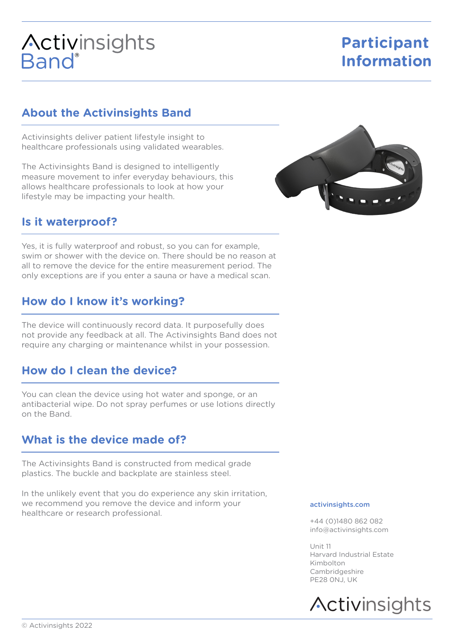# **Activinsights**<br>Band®

## **Participant Information**

## **About the Activinsights Band**

Activinsights deliver patient lifestyle insight to healthcare professionals using validated wearables.

The Activinsights Band is designed to intelligently measure movement to infer everyday behaviours, this allows healthcare professionals to look at how your lifestyle may be impacting your health.

## **Is it waterproof?**

Yes, it is fully waterproof and robust, so you can for example, swim or shower with the device on. There should be no reason at all to remove the device for the entire measurement period. The only exceptions are if you enter a sauna or have a medical scan.

## **How do I know it's working?**

The device will continuously record data. It purposefully does not provide any feedback at all. The Activinsights Band does not require any charging or maintenance whilst in your possession.

## **How do I clean the device?**

You can clean the device using hot water and sponge, or an antibacterial wipe. Do not spray perfumes or use lotions directly on the Band.

## **What is the device made of?**

The Activinsights Band is constructed from medical grade plastics. The buckle and backplate are stainless steel.

In the unlikely event that you do experience any skin irritation, we recommend you remove the device and inform your healthcare or research professional.

### activinsights.com

+44 (0)1480 862 082 info@activinsights.com

Unit 11 Harvard Industrial Estate Kimbolton Cambridgeshire PE28 0NJ, UK